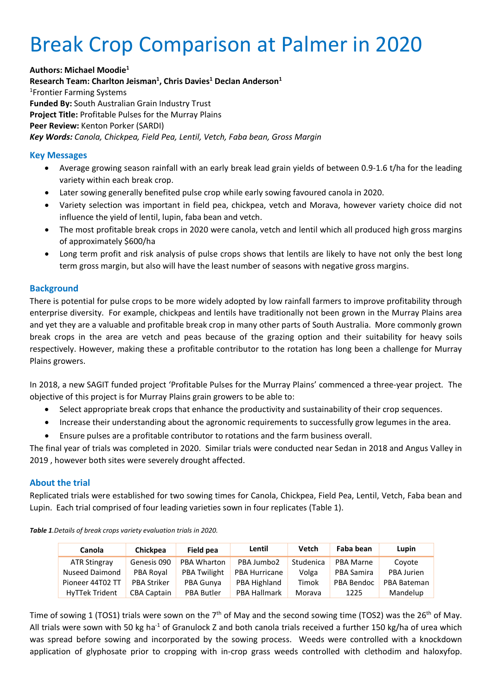# Break Crop Comparison at Palmer in 2020

**Authors: Michael Moodie1 Research Team: Charlton Jeisman1 , Chris Davies1 Declan Anderson1** 1 Frontier Farming Systems **Funded By:** South Australian Grain Industry Trust **Project Title:** Profitable Pulses for the Murray Plains **Peer Review:** Kenton Porker (SARDI) *Key Words: Canola, Chickpea, Field Pea, Lentil, Vetch, Faba bean, Gross Margin*

#### **Key Messages**

- Average growing season rainfall with an early break lead grain yields of between 0.9-1.6 t/ha for the leading variety within each break crop.
- Later sowing generally benefited pulse crop while early sowing favoured canola in 2020.
- Variety selection was important in field pea, chickpea, vetch and Morava, however variety choice did not influence the yield of lentil, lupin, faba bean and vetch.
- The most profitable break crops in 2020 were canola, vetch and lentil which all produced high gross margins of approximately \$600/ha
- Long term profit and risk analysis of pulse crops shows that lentils are likely to have not only the best long term gross margin, but also will have the least number of seasons with negative gross margins.

#### **Background**

There is potential for pulse crops to be more widely adopted by low rainfall farmers to improve profitability through enterprise diversity. For example, chickpeas and lentils have traditionally not been grown in the Murray Plains area and yet they are a valuable and profitable break crop in many other parts of South Australia. More commonly grown break crops in the area are vetch and peas because of the grazing option and their suitability for heavy soils respectively. However, making these a profitable contributor to the rotation has long been a challenge for Murray Plains growers.

In 2018, a new SAGIT funded project 'Profitable Pulses for the Murray Plains' commenced a three-year project. The objective of this project is for Murray Plains grain growers to be able to:

- Select appropriate break crops that enhance the productivity and sustainability of their crop sequences.
- Increase their understanding about the agronomic requirements to successfully grow legumes in the area.
- Ensure pulses are a profitable contributor to rotations and the farm business overall.

The final year of trials was completed in 2020. Similar trials were conducted near Sedan in 2018 and Angus Valley in 2019 , however both sites were severely drought affected.

#### **About the trial**

Replicated trials were established for two sowing times for Canola, Chickpea, Field Pea, Lentil, Vetch, Faba bean and Lupin. Each trial comprised of four leading varieties sown in four replicates (Table 1).

| Canola                | <b>Chickpea</b>    | Field pea           | Lentil               | Vetch     | Faba bean        | Lupin       |
|-----------------------|--------------------|---------------------|----------------------|-----------|------------------|-------------|
| ATR Stingray          | Genesis 090        | <b>PBA Wharton</b>  | PBA Jumbo2           | Studenica | <b>PBA Marne</b> | Covote      |
| <b>Nuseed Daimond</b> | PBA Royal          | <b>PBA Twilight</b> | <b>PBA Hurricane</b> | Volga     | PBA Samira       | PBA Jurien  |
| Pioneer 44T02 TT      | <b>PBA Striker</b> | PBA Gunya           | PBA Highland         | Timok     | PBA Bendoc       | PBA Bateman |
| <b>HyTTek Trident</b> | <b>CBA Captain</b> | <b>PBA Butler</b>   | <b>PBA Hallmark</b>  | Morava    | 1225             | Mandelup    |

*Table 1.Details of break crops variety evaluation trials in 2020.*

Time of sowing 1 (TOS1) trials were sown on the 7<sup>th</sup> of May and the second sowing time (TOS2) was the 26<sup>th</sup> of May. All trials were sown with 50 kg ha<sup>-1</sup> of Granulock Z and both canola trials received a further 150 kg/ha of urea which was spread before sowing and incorporated by the sowing process. Weeds were controlled with a knockdown application of glyphosate prior to cropping with in-crop grass weeds controlled with clethodim and haloxyfop.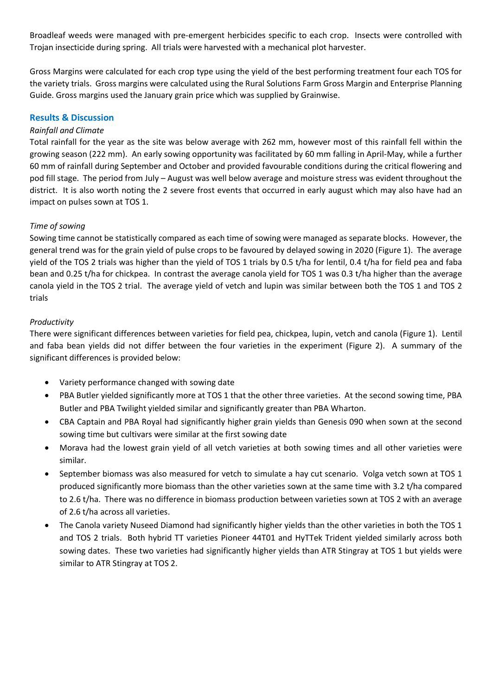Broadleaf weeds were managed with pre-emergent herbicides specific to each crop. Insects were controlled with Trojan insecticide during spring. All trials were harvested with a mechanical plot harvester.

Gross Margins were calculated for each crop type using the yield of the best performing treatment four each TOS for the variety trials. Gross margins were calculated using the Rural Solutions Farm Gross Margin and Enterprise Planning Guide. Gross margins used the January grain price which was supplied by Grainwise.

#### **Results & Discussion**

#### *Rainfall and Climate*

Total rainfall for the year as the site was below average with 262 mm, however most of this rainfall fell within the growing season (222 mm). An early sowing opportunity was facilitated by 60 mm falling in April-May, while a further 60 mm of rainfall during September and October and provided favourable conditions during the critical flowering and pod fill stage. The period from July – August was well below average and moisture stress was evident throughout the district. It is also worth noting the 2 severe frost events that occurred in early august which may also have had an impact on pulses sown at TOS 1.

#### *Time of sowing*

Sowing time cannot be statistically compared as each time of sowing were managed as separate blocks. However, the general trend was for the grain yield of pulse crops to be favoured by delayed sowing in 2020 (Figure 1). The average yield of the TOS 2 trials was higher than the yield of TOS 1 trials by 0.5 t/ha for lentil, 0.4 t/ha for field pea and faba bean and 0.25 t/ha for chickpea. In contrast the average canola yield for TOS 1 was 0.3 t/ha higher than the average canola yield in the TOS 2 trial. The average yield of vetch and lupin was similar between both the TOS 1 and TOS 2 trials

#### *Productivity*

There were significant differences between varieties for field pea, chickpea, lupin, vetch and canola (Figure 1). Lentil and faba bean yields did not differ between the four varieties in the experiment (Figure 2). A summary of the significant differences is provided below:

- Variety performance changed with sowing date
- PBA Butler yielded significantly more at TOS 1 that the other three varieties. At the second sowing time, PBA Butler and PBA Twilight yielded similar and significantly greater than PBA Wharton.
- CBA Captain and PBA Royal had significantly higher grain yields than Genesis 090 when sown at the second sowing time but cultivars were similar at the first sowing date
- Morava had the lowest grain yield of all vetch varieties at both sowing times and all other varieties were similar.
- September biomass was also measured for vetch to simulate a hay cut scenario. Volga vetch sown at TOS 1 produced significantly more biomass than the other varieties sown at the same time with 3.2 t/ha compared to 2.6 t/ha. There was no difference in biomass production between varieties sown at TOS 2 with an average of 2.6 t/ha across all varieties.
- The Canola variety Nuseed Diamond had significantly higher yields than the other varieties in both the TOS 1 and TOS 2 trials. Both hybrid TT varieties Pioneer 44T01 and HyTTek Trident yielded similarly across both sowing dates. These two varieties had significantly higher yields than ATR Stingray at TOS 1 but yields were similar to ATR Stingray at TOS 2.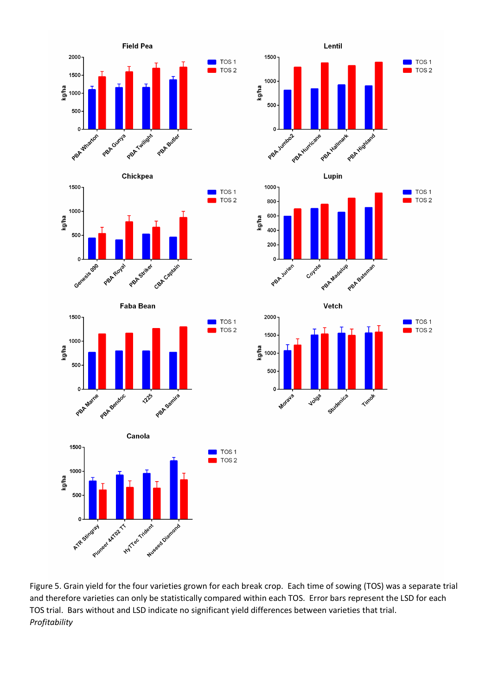



Figure 5. Grain yield for the four varieties grown for each break crop. Each time of sowing (TOS) was a separate trial and therefore varieties can only be statistically compared within each TOS. Error bars represent the LSD for each TOS trial. Bars without and LSD indicate no significant yield differences between varieties that trial. *Profitability*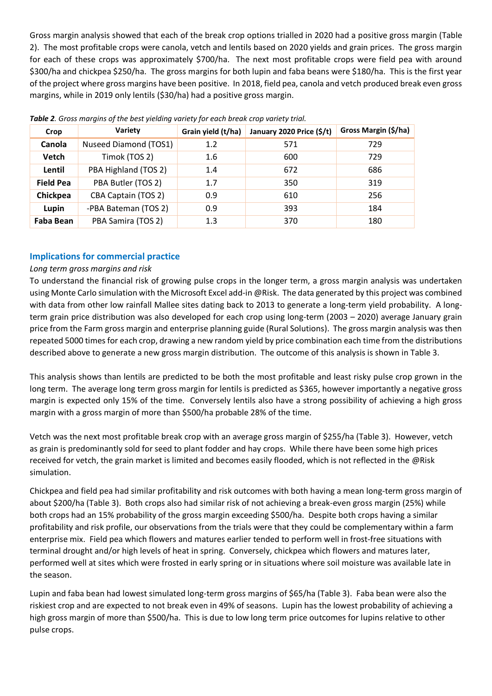Gross margin analysis showed that each of the break crop options trialled in 2020 had a positive gross margin (Table 2). The most profitable crops were canola, vetch and lentils based on 2020 yields and grain prices. The gross margin for each of these crops was approximately \$700/ha. The next most profitable crops were field pea with around \$300/ha and chickpea \$250/ha. The gross margins for both lupin and faba beans were \$180/ha. This is the first year of the project where gross margins have been positive. In 2018, field pea, canola and vetch produced break even gross margins, while in 2019 only lentils (\$30/ha) had a positive gross margin.

| Crop             | Variety               | Grain yield (t/ha) | January 2020 Price (\$/t) | Gross Margin (\$/ha) |  |  |  |  |
|------------------|-----------------------|--------------------|---------------------------|----------------------|--|--|--|--|
| Canola           | Nuseed Diamond (TOS1) | 1.2                | 571                       | 729                  |  |  |  |  |
| Vetch            | Timok (TOS 2)         | 1.6                | 600                       | 729                  |  |  |  |  |
| Lentil           | PBA Highland (TOS 2)  | 1.4                | 672                       | 686                  |  |  |  |  |
| <b>Field Pea</b> | PBA Butler (TOS 2)    | 1.7                | 350                       | 319                  |  |  |  |  |
| Chickpea         | CBA Captain (TOS 2)   | 0.9                | 610                       | 256                  |  |  |  |  |
| Lupin            | -PBA Bateman (TOS 2)  | 0.9                | 393                       | 184                  |  |  |  |  |
| Faba Bean        | PBA Samira (TOS 2)    | 1.3                | 370                       | 180                  |  |  |  |  |

*Table 2. Gross margins of the best yielding variety for each break crop variety trial.* 

### **Implications for commercial practice**

#### *Long term gross margins and risk*

To understand the financial risk of growing pulse crops in the longer term, a gross margin analysis was undertaken using Monte Carlo simulation with the Microsoft Excel add-in @Risk. The data generated by this project was combined with data from other low rainfall Mallee sites dating back to 2013 to generate a long-term yield probability. A longterm grain price distribution was also developed for each crop using long-term (2003 – 2020) average January grain price from the Farm gross margin and enterprise planning guide (Rural Solutions). The gross margin analysis was then repeated 5000 times for each crop, drawing a new random yield by price combination each time from the distributions described above to generate a new gross margin distribution. The outcome of this analysis is shown in Table 3.

This analysis shows than lentils are predicted to be both the most profitable and least risky pulse crop grown in the long term. The average long term gross margin for lentils is predicted as \$365, however importantly a negative gross margin is expected only 15% of the time. Conversely lentils also have a strong possibility of achieving a high gross margin with a gross margin of more than \$500/ha probable 28% of the time.

Vetch was the next most profitable break crop with an average gross margin of \$255/ha (Table 3). However, vetch as grain is predominantly sold for seed to plant fodder and hay crops. While there have been some high prices received for vetch, the grain market is limited and becomes easily flooded, which is not reflected in the @Risk simulation.

Chickpea and field pea had similar profitability and risk outcomes with both having a mean long-term gross margin of about \$200/ha (Table 3). Both crops also had similar risk of not achieving a break-even gross margin (25%) while both crops had an 15% probability of the gross margin exceeding \$500/ha. Despite both crops having a similar profitability and risk profile, our observations from the trials were that they could be complementary within a farm enterprise mix. Field pea which flowers and matures earlier tended to perform well in frost-free situations with terminal drought and/or high levels of heat in spring. Conversely, chickpea which flowers and matures later, performed well at sites which were frosted in early spring or in situations where soil moisture was available late in the season.

Lupin and faba bean had lowest simulated long-term gross margins of \$65/ha (Table 3). Faba bean were also the riskiest crop and are expected to not break even in 49% of seasons. Lupin has the lowest probability of achieving a high gross margin of more than \$500/ha. This is due to low long term price outcomes for lupins relative to other pulse crops.